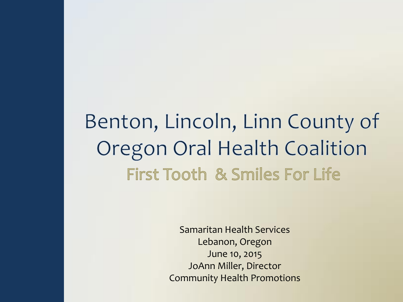Benton, Lincoln, Linn County of Oregon Oral Health Coalition First Tooth & Smiles For Life

> Samaritan Health Services Lebanon, Oregon June 10, 2015 JoAnn Miller, Director Community Health Promotions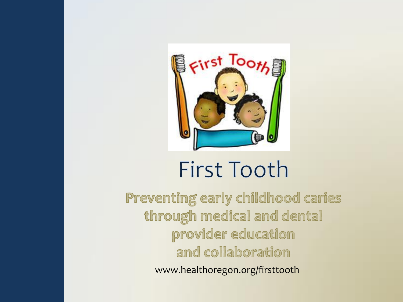

### **First Tooth**

Preventing early childhood caries through medical and dental provider education and collaboration

www.healthoregon.org/firsttooth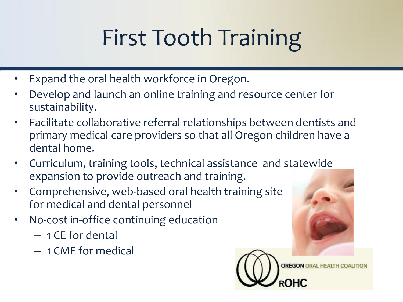# First Tooth Training

- Expand the oral health workforce in Oregon.
- Develop and launch an online training and resource center for sustainability.
- Facilitate collaborative referral relationships between dentists and primary medical care providers so that all Oregon children have a dental home.
- Curriculum, training tools, technical assistance and statewide expansion to provide outreach and training.
- Comprehensive, web-based oral health training site for medical and dental personnel
- No-cost in-office continuing education
	- 1 CE for dental
	- 1 CME for medical



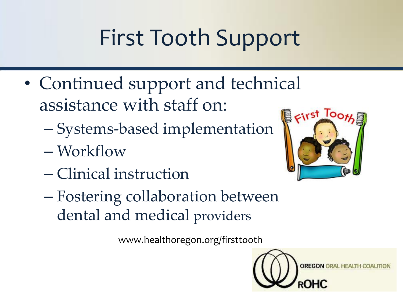# First Tooth Support

- Continued support and technical assistance with staff on:
	- Systems-based implementation
	- Workflow
	- Clinical instruction
	- Fostering collaboration between dental and medical providers

www.healthoregon.org/firsttooth



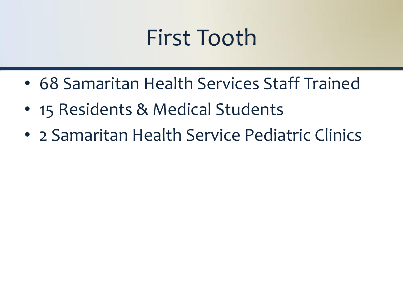### First Tooth

- 68 Samaritan Health Services Staff Trained
- 15 Residents & Medical Students
- 2 Samaritan Health Service Pediatric Clinics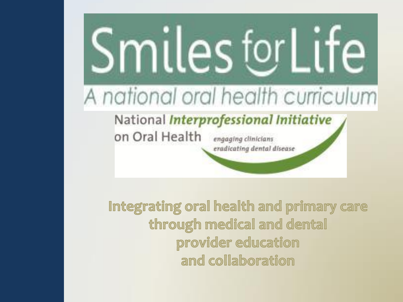# Smiles for Life A national oral health curriculum

#### National Interprofessional Initiative on Oral Health engaging clinicians

eradicating dental disease

Integrating oral health and primary care through medical and dental provider education and collaboration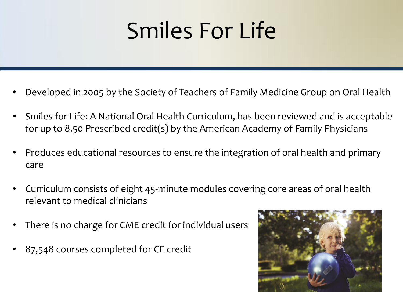### Smiles For Life

- Developed in 2005 by the Society of Teachers of Family Medicine Group on Oral Health
- Smiles for Life: A National Oral Health Curriculum, has been reviewed and is acceptable for up to 8.50 Prescribed credit(s) by the American Academy of Family Physicians
- Produces educational resources to ensure the integration of oral health and primary care
- Curriculum consists of eight 45-minute modules covering core areas of oral health relevant to medical clinicians
- There is no charge for CME credit for individual users
- 87,548 courses completed for CE credit

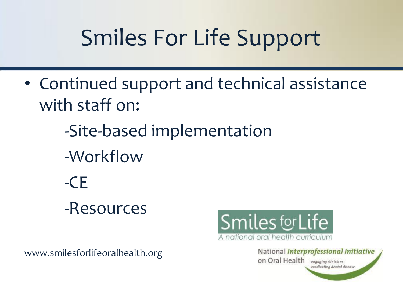## Smiles For Life Support

- Continued support and technical assistance with staff on:
	- -Site-based implementation
	- -Workflow
	- $-CF$
	- -Resources

www.smilesforlifeoralhealth.org



National Interprofessional Initiative on Oral Health engaging clinicians